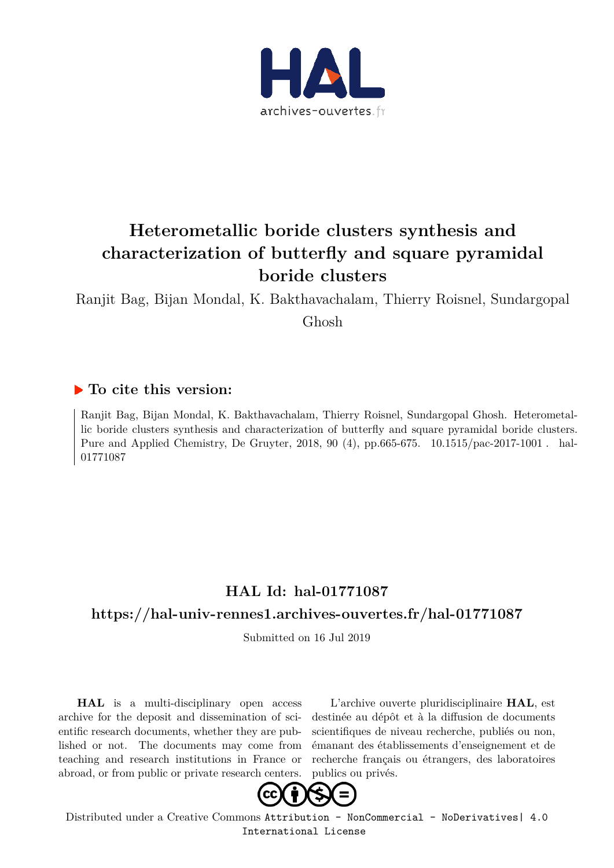

# **Heterometallic boride clusters synthesis and characterization of butterfly and square pyramidal boride clusters**

Ranjit Bag, Bijan Mondal, K. Bakthavachalam, Thierry Roisnel, Sundargopal

Ghosh

#### **To cite this version:**

Ranjit Bag, Bijan Mondal, K. Bakthavachalam, Thierry Roisnel, Sundargopal Ghosh. Heterometallic boride clusters synthesis and characterization of butterfly and square pyramidal boride clusters. Pure and Applied Chemistry, De Gruyter, 2018, 90 (4), pp.665-675. 10.1515/pac-2017-1001. hal-01771087

## **HAL Id: hal-01771087**

#### **https://hal-univ-rennes1.archives-ouvertes.fr/hal-01771087**

Submitted on 16 Jul 2019

**HAL** is a multi-disciplinary open access archive for the deposit and dissemination of scientific research documents, whether they are published or not. The documents may come from teaching and research institutions in France or abroad, or from public or private research centers.

L'archive ouverte pluridisciplinaire **HAL**, est destinée au dépôt et à la diffusion de documents scientifiques de niveau recherche, publiés ou non, émanant des établissements d'enseignement et de recherche français ou étrangers, des laboratoires publics ou privés.



Distributed under a Creative Commons Attribution - NonCommercial - NoDerivatives| 4.0 International License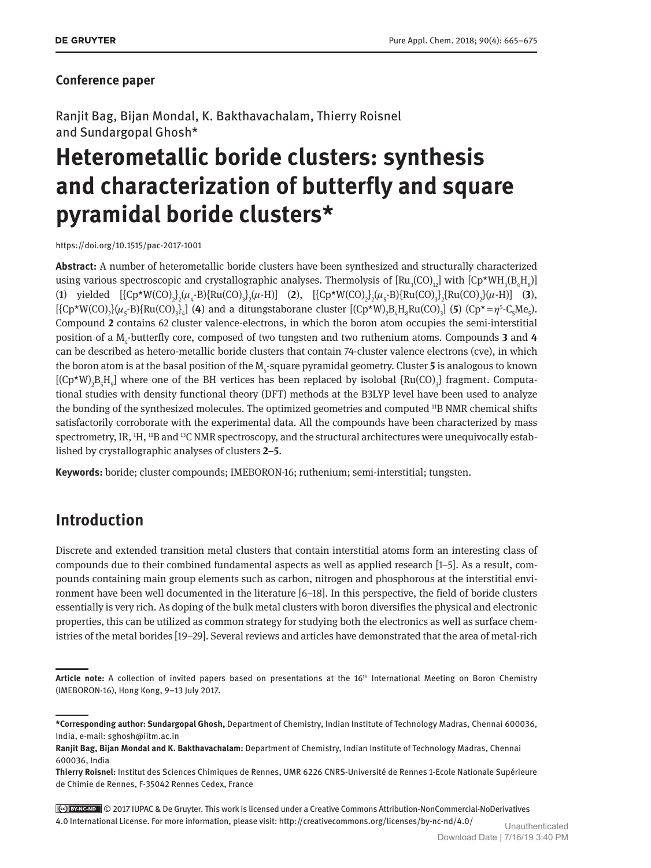#### **Conference paper**

Ranjit Bag, Bijan Mondal, K. Bakthavachalam, Thierry Roisnel and Sundargopal Ghosh\*

# **Heterometallic boride clusters: synthesis and characterization of butterfly and square pyramidal boride clusters\***

https://doi.org/10.1515/pac-2017-1001

**Abstract:** A number of heterometallic boride clusters have been synthesized and structurally characterized using various spectroscopic and crystallographic analyses. Thermolysis of  $\text{[Ru}_{3}\text{(CO)}_{12}\text{]}$  with  $\text{[Cp*WH}_{3}\text{(B}_{4}\text{H}_{8})\text{]}$ (**1**) yielded  $[\{Cp*W(CO)_{2}\}](\mu_{4} - B)\{Ru(CO)_{3}\}(\mu - H)]$  (**2**),  $[\{Cp*W(CO)_{2}\}(\mu_{5} - B)\{Ru(CO)_{3}\}(\mu - H)]$  (**3**),  $[\{Cp*W(CO)_2\}(\mu_5-B)\{Ru(CO)_3\}_4]$  (4) and a ditungstaborane cluster  $[(Cp*W)_2B_4H_8Ru(CO)_3]$  (5)  $(Cp*=p^5-C_5Me_5)$ . Compound **2** contains 62 cluster valence-electrons, in which the boron atom occupies the semi-interstitial position of a  $M_4$ -butterfly core, composed of two tungsten and two ruthenium atoms. Compounds 3 and 4 can be described as hetero-metallic boride clusters that contain 74-cluster valence electrons (cve), in which the boron atom is at the basal position of the  $M_s$ -square pyramidal geometry. Cluster 5 is analogous to known  $[(Cp*W)_{2}B_{5}H_{9}]$  where one of the BH vertices has been replaced by isolobal  $\{Ru(CO)_{3}\}$  fragment. Computational studies with density functional theory (DFT) methods at the B3LYP level have been used to analyze the bonding of the synthesized molecules. The optimized geometries and computed <sup>11</sup>B NMR chemical shifts satisfactorily corroborate with the experimental data. All the compounds have been characterized by mass spectrometry, IR, <sup>1</sup>H, <sup>11</sup>B and <sup>13</sup>C NMR spectroscopy, and the structural architectures were unequivocally established by crystallographic analyses of clusters **2–5**.

**Keywords:** boride; cluster compounds; IMEBORON-16; ruthenium; semi-interstitial; tungsten.

## **Introduction**

Discrete and extended transition metal clusters that contain interstitial atoms form an interesting class of compounds due to their combined fundamental aspects as well as applied research [1–5]. As a result, compounds containing main group elements such as carbon, nitrogen and phosphorous at the interstitial environment have been well documented in the literature [6–18]. In this perspective, the field of boride clusters essentially is very rich. As doping of the bulk metal clusters with boron diversifies the physical and electronic properties, this can be utilized as common strategy for studying both the electronics as well as surface chemistries of the metal borides [19–29]. Several reviews and articles have demonstrated that the area of metal-rich

© 2017 IUPAC & De Gruyter. This work is licensed under a Creative Commons Attribution-NonCommercial-NoDerivatives 4.0 International License. For more information, please visit: http://creativecommons.org/licenses/by-nc-nd/4.0/ Unauthenticated

Article note: A collection of invited papers based on presentations at the 16<sup>th</sup> International Meeting on Boron Chemistry ( IMEBORON-16), Hong Kong, 9–13 July 2017.

**<sup>\*</sup>Corresponding author: Sundargopal Ghosh,** Department of Chemistry, Indian Institute of Technology Madras, Chennai 600036, India, e-mail: sghosh@iitm.ac.in

**Ranjit Bag, Bijan Mondal and K. Bakthavachalam:** Department of Chemistry, Indian Institute of Technology Madras, Chennai 600036, India

**Thierry Roisnel:** Institut des Sciences Chimiques de Rennes, UMR 6226 CNRS-Université de Rennes 1-Ecole Nationale Supérieure de Chimie de Rennes, F-35042 Rennes Cedex, France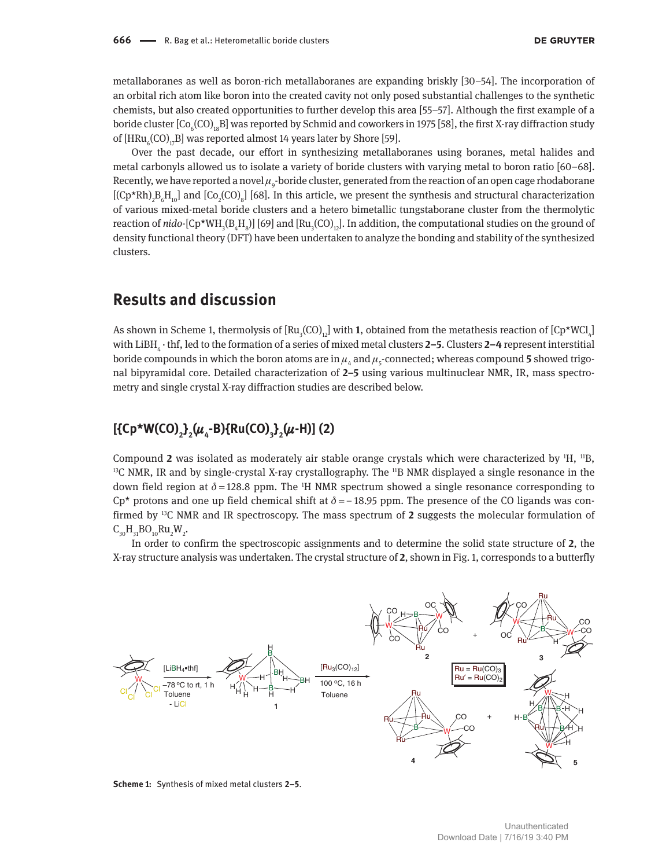metallaboranes as well as boron-rich metallaboranes are expanding briskly [30–54]. The incorporation of an orbital rich atom like boron into the created cavity not only posed substantial challenges to the synthetic chemists, but also created opportunities to further develop this area [55–57]. Although the first example of a boride cluster [Co $_{_6}$ (CO) $_{_{18}}$ B] was reported by Schmid and coworkers in 1975 [58], the first X-ray diffraction study of [HRu $_{6}$ (CO)<sub>17</sub>B] was reported almost 14 years later by Shore [59].

Over the past decade, our effort in synthesizing metallaboranes using boranes, metal halides and metal carbonyls allowed us to isolate a variety of boride clusters with varying metal to boron ratio [60–68]. Recently, we have reported a novel  $\mu_g$ -boride cluster, generated from the reaction of an open cage rhodaborane  $[(Cp*Rh)<sub>2</sub>B<sub>6</sub>H<sub>10</sub>]$  and  $[Co<sub>2</sub>(CO)<sub>8</sub>]$  [68]. In this article, we present the synthesis and structural characterization of various mixed-metal boride clusters and a hetero bimetallic tungstaborane cluster from the thermolytic reaction of *nido*-[Cp\*WH<sub>3</sub>(B<sub>4</sub>H<sub>8</sub>)] [69] and [Ru<sub>3</sub>(CO)<sub>12</sub>]. In addition, the computational studies on the ground of density functional theory (DFT) have been undertaken to analyze the bonding and stability of the synthesized clusters.

#### **Results and discussion**

As shown in Scheme 1, thermolysis of  $[Ru_{3}(CO)_{12}]$  with 1, obtained from the metathesis reaction of  $[CP*WCl_{4}]$ with LiBH<sup>4</sup>  · thf, led to the formation of a series of mixed metal clusters **2–5**. Clusters **2–4** represent interstitial boride compounds in which the boron atoms are in  $\mu_{4}$  and  $\mu_{5}$ -connected; whereas compound 5 showed trigonal bipyramidal core. Detailed characterization of **2–5** using various multinuclear NMR, IR, mass spectrometry and single crystal X-ray diffraction studies are described below.

#### **[{Cp\*W(CO)<sup>2</sup> } 2 (**µ**4 -B){Ru(CO)<sup>3</sup> } 2 (**µ**-H)] (2)**

Compound 2 was isolated as moderately air stable orange crystals which were characterized by <sup>1</sup>H, <sup>11</sup>B,  $13C$  NMR, IR and by single-crystal X-ray crystallography. The  $11B$  NMR displayed a single resonance in the down field region at  $\delta = 128.8$  ppm. The <sup>1</sup>H NMR spectrum showed a single resonance corresponding to Cp<sup>\*</sup> protons and one up field chemical shift at  $\delta$  = −18.95 ppm. The presence of the CO ligands was confirmed by 13C NMR and IR spectroscopy. The mass spectrum of **2** suggests the molecular formulation of  $C_{30}H_{31}BO_{10}Ru_2W_2$ .

In order to confirm the spectroscopic assignments and to determine the solid state structure of **2**, the X-ray structure analysis was undertaken. The crystal structure of **2**, shown in Fig. 1, corresponds to a butterfly



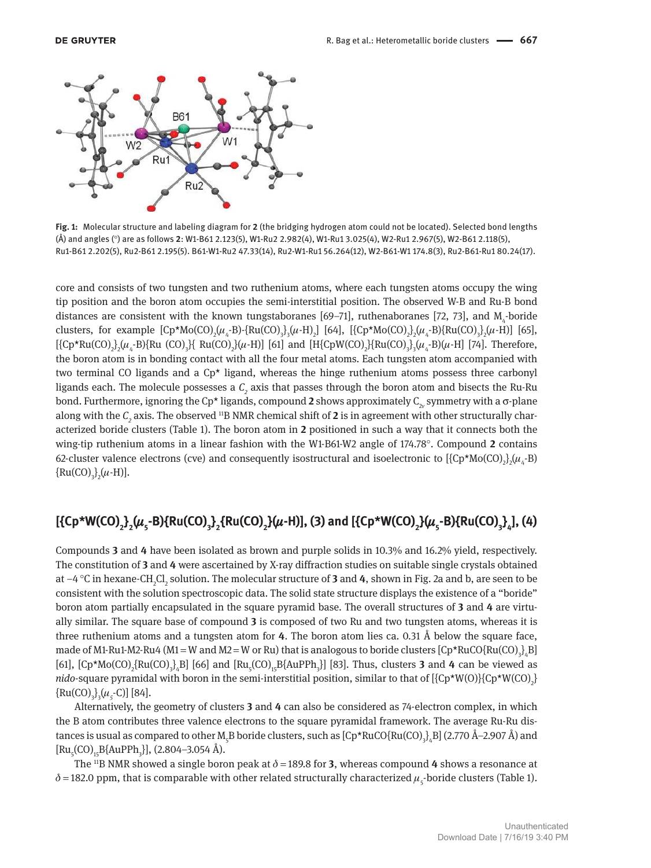

**Fig. 1:** Molecular structure and labeling diagram for **2** (the bridging hydrogen atom could not be located). Selected bond lengths (Å) and angles (°) are as follows **2**: W1-B61 2.123(5), W1-Ru2 2.982(4), W1-Ru1 3.025(4), W2-Ru1 2.967(5), W2-B61 2.118(5), Ru1-B61 2.202(5), Ru2-B61 2.195(5). B61-W1-Ru2 47.33(14), Ru2-W1-Ru1 56.264(12), W2-B61-W1 174.8(3), Ru2-B61-Ru1 80.24(17).

core and consists of two tungsten and two ruthenium atoms, where each tungsten atoms occupy the wing tip position and the boron atom occupies the semi-interstitial position. The observed W-B and Ru-B bond distances are consistent with the known tungstaboranes [69–71], ruthenaboranes [72, 73], and  $M_4$ -boride clusters, for example  $[Cp*Mo(CO)_{2}(\mu_{4}\text{-}B)\text{-}{Ru(CO)}_{3}(\mu\text{-}H)_{2}]$  [64],  $[{Cp*Mo(CO)}_{2}(\mu_{4}\text{-}B){Ru(CO)}_{3}(\mu\text{-}H)]$  [65],  $[\{Cp*Ru(CO)_{2}\}\mu_{4} - B\}$  Ru $(CO)_{3}$  Ru $(CO)_{2}$   $[\mu_{4}$  H $]]$  [61] and  $[H{CpW(CO)_{2}}$   $[Ru(CO)_{3}\}$   $[\mu_{4}$  B $](\mu_{4}$  H $]]$  [74]. Therefore, the boron atom is in bonding contact with all the four metal atoms. Each tungsten atom accompanied with two terminal CO ligands and a Cp\* ligand, whereas the hinge ruthenium atoms possess three carbonyl ligands each. The molecule possesses a  $\mathcal{C}_2$  axis that passes through the boron atom and bisects the Ru-Ru bond. Furthermore, ignoring the Cp\* ligands, compound  $2$  shows approximately  $C_{2v}$  symmetry with a  $\sigma$ -plane along with the  $C_2$  axis. The observed <sup>11</sup>B NMR chemical shift of 2 is in agreement with other structurally characterized boride clusters (Table 1). The boron atom in **2** positioned in such a way that it connects both the wing-tip ruthenium atoms in a linear fashion with the W1-B61-W2 angle of 174.78°. Compound **2** contains 62-cluster valence electrons (cve) and consequently isostructural and isoelectronic to  $[\{Cp^{\star}Mo(CO)_{2}\},\mu_{4}$ -B)  $\{Ru(CO)_{3}\} _{2}(\mu$ -H)].

### [{Cp\*W(CO)<sub>2</sub>}<sub>2</sub>( $\mu_s$ -B){Ru(CO)<sub>3</sub>}<sub>2</sub>{Ru(CO)<sub>2</sub>}( $\mu$ -H)], (3) and [{Cp\*W(CO)<sub>2</sub>}( $\mu_s$ -B){Ru(CO)<sub>3</sub>}<sub>4</sub>], (4)

Compounds **3** and **4** have been isolated as brown and purple solids in 10.3% and 16.2% yield, respectively. The constitution of **3** and **4** were ascertained by X-ray diffraction studies on suitable single crystals obtained at −4 °C in hexane-CH<sub>2</sub>Cl<sub>2</sub> solution. The molecular structure of **3** and **4**, shown in Fig. 2a and b, are seen to be consistent with the solution spectroscopic data. The solid state structure displays the existence of a "boride" boron atom partially encapsulated in the square pyramid base. The overall structures of **3** and **4** are virtually similar. The square base of compound **3** is composed of two Ru and two tungsten atoms, whereas it is three ruthenium atoms and a tungsten atom for **4**. The boron atom lies ca. 0.31 Å below the square face, made of M1-Ru1-M2-Ru4 (M1 = W and M2 = W or Ru) that is analogous to boride clusters [Cp\*RuCO{Ru(CO)<sub>3</sub>}<sub>4</sub>B] [61],  $[Cp*Mo(CO)_{2}$ {Ru(CO)<sub>3</sub>}<sub>4</sub>B] [66] and  $[Ru_{5}(CO)_{15}B[AuPPh_{3}]$ ] [83]. Thus, clusters **3** and **4** can be viewed as *nido*-square pyramidal with boron in the semi-interstitial position, similar to that of [{Cp\*W(O)}{Cp\*W(CO)<sub>2</sub>}  $\{Ru(CO)_{3}\}_{3}(\mu_{5}$ -C)] [84].

Alternatively, the geometry of clusters **3** and **4** can also be considered as 74-electron complex, in which the B atom contributes three valence electrons to the square pyramidal framework. The average Ru-Ru distances is usual as compared to other  $\rm M_{5}B$  boride clusters, such as [Cp\*RuCO{Ru(CO) $_{3}$ ], $_{4}$ B] (2.770 Å–2.907 Å) and  $\text{[Ru}_{5}(\text{CO})_{15} \text{B} \{\text{AuPPh}_{3}\}\}\,$ , (2.804–3.054 Å).

The <sup>11</sup>B NMR showed a single boron peak at  $\delta$  = 189.8 for **3**, whereas compound 4 shows a resonance at  $\delta$  = 182.0 ppm, that is comparable with other related structurally characterized  $\mu_{_5}$ -boride clusters (Table 1).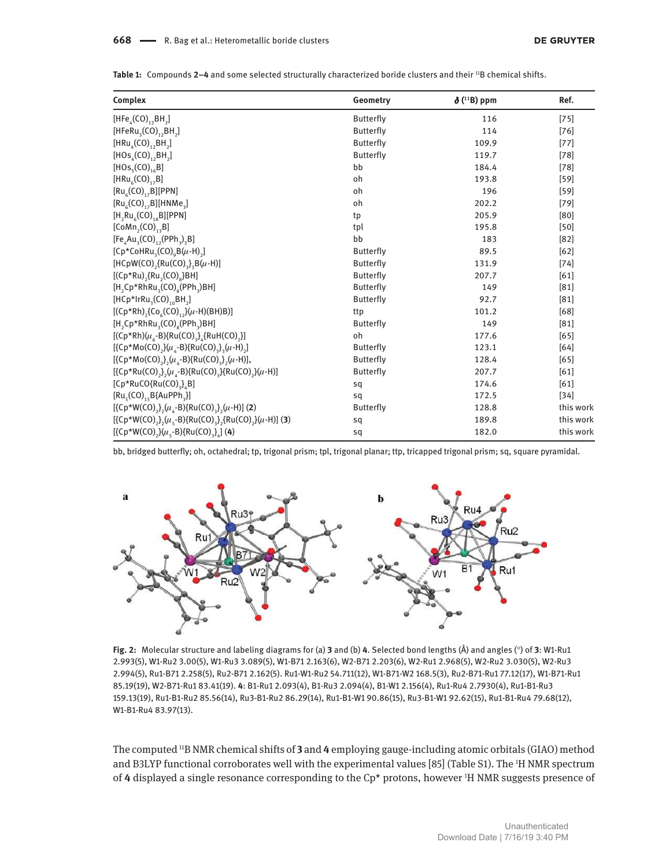Table 1: Compounds 2-4 and some selected structurally characterized boride clusters and their <sup>11</sup>B chemical shifts.

| Complex                                                                                                                                   | Geometry         | $\delta$ ( <sup>11</sup> B) ppm | Ref.      |
|-------------------------------------------------------------------------------------------------------------------------------------------|------------------|---------------------------------|-----------|
| $[HFe_{\mu}(CO)_{12}BH_{2}]$                                                                                                              | <b>Butterfly</b> | 116                             | $[75]$    |
| $[HFeRu3(CO)1, BH2]$                                                                                                                      | <b>Butterfly</b> | 114                             | $[76]$    |
| $[HRu_{\mu}(CO)_{12}BH_{2}]$                                                                                                              | <b>Butterfly</b> | 109.9                           | $[77]$    |
| $[HOS_{4}(CO), BH,]$                                                                                                                      | <b>Butterfly</b> | 119.7                           | $[78]$    |
| [HOS <sub>5</sub> (CO) <sub>16</sub> B]                                                                                                   | bb               | 184.4                           | $[78]$    |
| [HRu <sub>6</sub> (CO) <sub>17</sub> B]                                                                                                   | oh               | 193.8                           | $[59]$    |
| $[Ru_{6}(CO)_{17}B][PPN]$                                                                                                                 | oh               | 196                             | $[59]$    |
| $[Ru_{6}(CO)_{1,2}B][HNMe_{3}]$                                                                                                           | oh               | 202.2                           | $[79]$    |
| $[H, Ru6(CO)18B][PPN]$                                                                                                                    | tp               | 205.9                           | [80]      |
| $[CoMn,(CO)_{13}B]$                                                                                                                       | tpl              | 195.8                           | $[50]$    |
| $[FeAAu3(CO)12(PPh3)3B]$                                                                                                                  | bb               | 183                             | $[82]$    |
| $[Cp*CoHRu3(CO)9B(\mu-H)2]$                                                                                                               | <b>Butterfly</b> | 89.5                            | $[62]$    |
| [HCpW(CO) <sub>2</sub> {Ru(CO) <sub>3</sub> } <sub>3</sub> B( $\mu$ -H)]                                                                  | <b>Butterfly</b> | 131.9                           | $[74]$    |
| $[(Cp*Ru),$ {Ru <sub>2</sub> (CO) <sub>8</sub> }BH]                                                                                       | <b>Butterfly</b> | 207.7                           | [61]      |
| $[H, Cp*RhRu, (CO), (PPh,)BH]$                                                                                                            | <b>Butterfly</b> | 149                             | $[81]$    |
| $[HCp*IrRu3(CO)10BH2]$                                                                                                                    | <b>Butterfly</b> | 92.7                            | $[81]$    |
| $[(Cp*Rh)$ <sub>2</sub> $(Co6(CO)$ <sub>12</sub> $](u-H)(BH)B)]$                                                                          | ttp              | 101.2                           | [68]      |
| $[H, Cp*RhRu, (CO)_{8}(PPh, BH]$                                                                                                          | <b>Butterfly</b> | 149                             | $[81]$    |
| [ $(Cp*Rh)(\mu_{6}-B)$ {Ru(CO) <sub>3</sub> } <sub>4</sub> {RuH(CO) <sub>2</sub> }]                                                       | oh               | 177.6                           | [65]      |
| $[\{Cp*Mo(CO),\}(\mu _{A}-B)\{Ru(CO),\} _{A}(\mu -H)_{2}]$                                                                                | <b>Butterfly</b> | 123.1                           | [64]      |
| $[\{Cp*Mo(CO),\}$ , (u <sub>4</sub> -B) $\{Ru(CO),\}$ , (u-H)],                                                                           | <b>Butterfly</b> | 128.4                           | $[65]$    |
| [{Cp*Ru(CO) <sub>2</sub> },(u <sub>4</sub> -B){Ru(CO) <sub>3</sub> }{Ru(CO) <sub>2</sub> }(u-H)]                                          | <b>Butterfly</b> | 207.7                           | [61]      |
| $[Cp*RuCO{Ru(CO)}_3], B]$                                                                                                                 | sq               | 174.6                           | [61]      |
| $[Ru_{5}(CO)_{15}B{A}uPPh_{3}]$                                                                                                           | sq               | 172.5                           | $[34]$    |
| $[\{Cp*W(CO),\},(\mu _{_{A}}-B)\{Ru(CO),\} _{_{2}}(\mu -H)]$ (2)                                                                          | <b>Butterfly</b> | 128.8                           | this work |
| [{Cp*W(CO) <sub>2</sub> } <sub>2</sub> ( $\mu$ <sub>5</sub> -B){Ru(CO) <sub>3</sub> } <sub>2</sub> {Ru(CO) <sub>2</sub> }( $\mu$ -H)] (3) | sq               | 189.8                           | this work |
| $[\{Cp*W(CO),\}(\mu, B)]$ Ru(CO) <sub>3</sub> } <sub>4</sub> ] (4)                                                                        | sq               | 182.0                           | this work |

bb, bridged butterfly; oh, octahedral; tp, trigonal prism; tpl, trigonal planar; ttp, tricapped trigonal prism; sq, square pyramidal.



**Fig. 2:** Molecular structure and labeling diagrams for (a) **3** and (b) **4**. Selected bond lengths (Å) and angles (°) of **3**: W1-Ru1 2.993(5), W1-Ru2 3.00(5), W1-Ru3 3.089(5), W1-B71 2.163(6), W2-B71 2.203(6), W2-Ru1 2.968(5), W2-Ru2 3.030(5), W2-Ru3 2.994(5), Ru1-B71 2.258(5), Ru2-B71 2.162(5). Ru1-W1-Ru2 54.711(12), W1-B71-W2 168.5(3), Ru2-B71-Ru1 77.12(17), W1-B71-Ru1 85.19(19), W2-B71-Ru1 83.41(19). **4**: B1-Ru1 2.093(4), B1-Ru3 2.094(4), B1-W1 2.156(4), Ru1-Ru4 2.7930(4), Ru1-B1-Ru3 159.13(19), Ru1-B1-Ru2 85.56(14), Ru3-B1-Ru2 86.29(14), Ru1-B1-W1 90.86(15), Ru3-B1-W1 92.62(15), Ru1-B1-Ru4 79.68(12), W1-B1-Ru4 83.97(13).

The computed 11B NMR chemical shifts of **3** and **4** employing gauge-including atomic orbitals (GIAO) method and B3LYP functional corroborates well with the experimental values [85] (Table S1). The 1H NMR spectrum of **4** displayed a single resonance corresponding to the Cp\* protons, however 1H NMR suggests presence of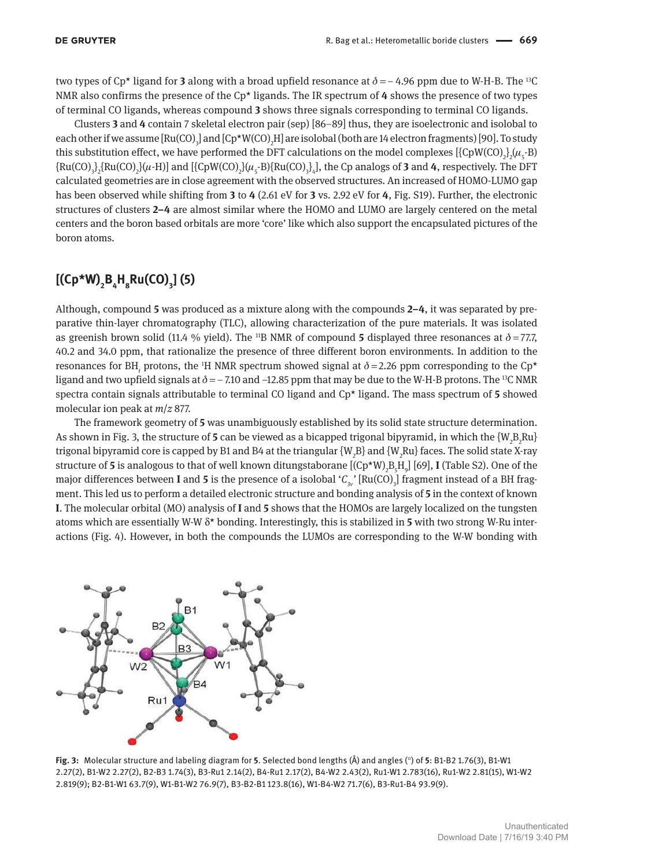two types of Cp<sup>\*</sup> ligand for **3** along with a broad upfield resonance at  $\delta = -4.96$  ppm due to W-H-B. The <sup>13</sup>C NMR also confirms the presence of the Cp\* ligands. The IR spectrum of **4** shows the presence of two types of terminal CO ligands, whereas compound **3** shows three signals corresponding to terminal CO ligands.

Clusters **3** and **4** contain 7 skeletal electron pair (sep) [86–89] thus, they are isoelectronic and isolobal to each other if we assume  $\rm{[Ru(CO)_3]}$  and  $\rm{[Cp^{\star}W(CO)_2H]}$  are isolobal (both are 14 electron fragments) [90]. To study this substitution effect, we have performed the DFT calculations on the model complexes  $[\{CpW(CO)_2\}(\mu_5\text{-B})]$  ${Ru(CO)}_3$ { $Ru(CO)$ <sub>2</sub>} ${(\mu-H)}$ ] and [{CpW(CO)<sub>2</sub>} ${(\mu_S-B)}$ {Ru(CO)<sub>3</sub>}<sub>4</sub>], the Cp analogs of **3** and **4**, respectively. The DFT calculated geometries are in close agreement with the observed structures. An increased of HOMO-LUMO gap has been observed while shifting from **3** to **4** (2.61 eV for **3** vs. 2.92 eV for **4**, Fig. S19). Further, the electronic structures of clusters **2–4** are almost similar where the HOMO and LUMO are largely centered on the metal centers and the boron based orbitals are more 'core' like which also support the encapsulated pictures of the boron atoms.

#### **[(Cp\*W)<sup>2</sup> B4 H8 Ru(CO)<sup>3</sup> ] (5)**

Although, compound **5** was produced as a mixture along with the compounds **2–4**, it was separated by preparative thin-layer chromatography (TLC), allowing characterization of the pure materials. It was isolated as greenish brown solid (11.4 % yield). The <sup>11</sup>B NMR of compound **5** displayed three resonances at  $\delta$  = 77.7, 40.2 and 34.0 ppm, that rationalize the presence of three different boron environments. In addition to the resonances for BH<sub>t</sub> protons, the <sup>1</sup>H NMR spectrum showed signal at  $\delta$  = 2.26 ppm corresponding to the Cp\* ligand and two upfield signals at  $\delta = -7.10$  and  $-12.85$  ppm that may be due to the W-H-B protons. The <sup>13</sup>C NMR spectra contain signals attributable to terminal CO ligand and Cp\* ligand. The mass spectrum of **5** showed molecular ion peak at *m*/*z* 877.

The framework geometry of **5** was unambiguously established by its solid state structure determination. As shown in Fig. 3, the structure of 5 can be viewed as a bicapped trigonal bipyramid, in which the  $\{W_2B_2Ru\}$ trigonal bipyramid core is capped by B1 and B4 at the triangular {W<sub>2</sub>B} and {W<sub>2</sub>Ru} faces. The solid state X-ray structure of 5 is analogous to that of well known ditungstaborane [(Cp\*W)<sub>2</sub>B<sub>5</sub>H<sub>9</sub>] [69], I (Table S2). One of the major differences between **I** and **5** is the presence of a isolobal ' $C_{3v}$ ' [Ru(CO)<sub>3</sub>] fragment instead of a BH fragment. This led us to perform a detailed electronic structure and bonding analysis of **5** in the context of known **I**. The molecular orbital (MO) analysis of **I** and **5** shows that the HOMOs are largely localized on the tungsten atoms which are essentially W-W δ\* bonding. Interestingly, this is stabilized in **5** with two strong W-Ru interactions (Fig. 4). However, in both the compounds the LUMOs are corresponding to the W-W bonding with



**Fig. 3:** Molecular structure and labeling diagram for **5**. Selected bond lengths (Å) and angles (°) of **5**: B1-B2 1.76(3), B1-W1 2.27(2), B1-W2 2.27(2), B2-B3 1.74(3), B3-Ru1 2.14(2), B4-Ru1 2.17(2), B4-W2 2.43(2), Ru1-W1 2.783(16), Ru1-W2 2.81(15), W1-W2 2.819(9); B2-B1-W1 63.7(9), W1-B1-W2 76.9(7), B3-B2-B1 123.8(16), W1-B4-W2 71.7(6), B3-Ru1-B4 93.9(9).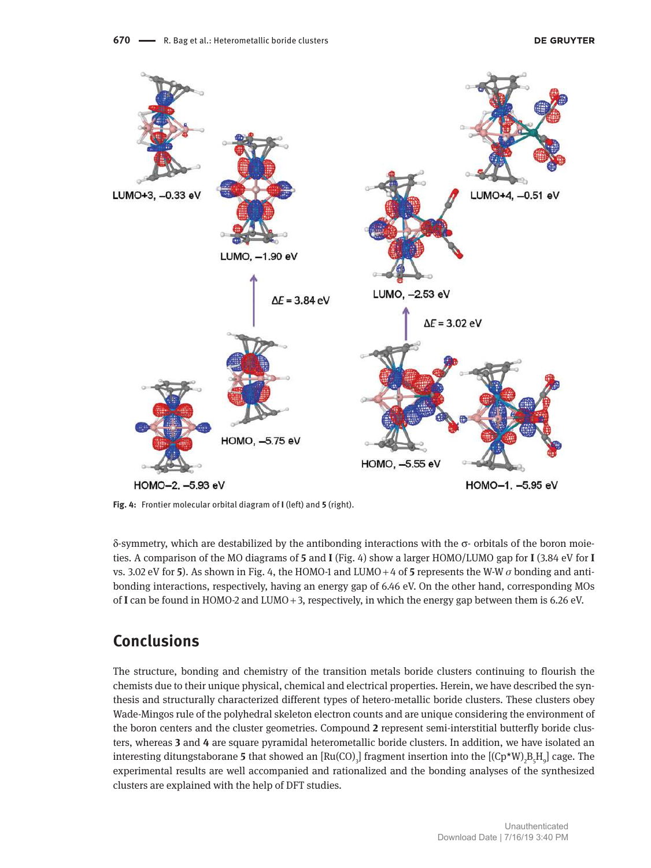

**Fig. 4:** Frontier molecular orbital diagram of **I** (left) and **5** (right).

δ-symmetry, which are destabilized by the antibonding interactions with the σ- orbitals of the boron moieties. A comparison of the MO diagrams of **5** and **I** (Fig. 4) show a larger HOMO/LUMO gap for **I** (3.84 eV for **I** vs. 3.02 eV for **5**). As shown in Fig. 4, the HOMO-1 and LUMO + 4 of **5** represents the W-W  $\sigma$  bonding and antibonding interactions, respectively, having an energy gap of 6.46 eV. On the other hand, corresponding MOs of **I** can be found in HOMO-2 and LUMO + 3, respectively, in which the energy gap between them is 6.26 eV.

## **Conclusions**

The structure, bonding and chemistry of the transition metals boride clusters continuing to flourish the chemists due to their unique physical, chemical and electrical properties. Herein, we have described the synthesis and structurally characterized different types of hetero-metallic boride clusters. These clusters obey Wade-Mingos rule of the polyhedral skeleton electron counts and are unique considering the environment of the boron centers and the cluster geometries. Compound **2** represent semi-interstitial butterfly boride clusters, whereas **3** and **4** are square pyramidal heterometallic boride clusters. In addition, we have isolated an interesting ditungstaborane 5 that showed an  $[Ru(CO)_3]$  fragment insertion into the  $[(Cp*W)_2B_5H_9]$  cage. The experimental results are well accompanied and rationalized and the bonding analyses of the synthesized clusters are explained with the help of DFT studies.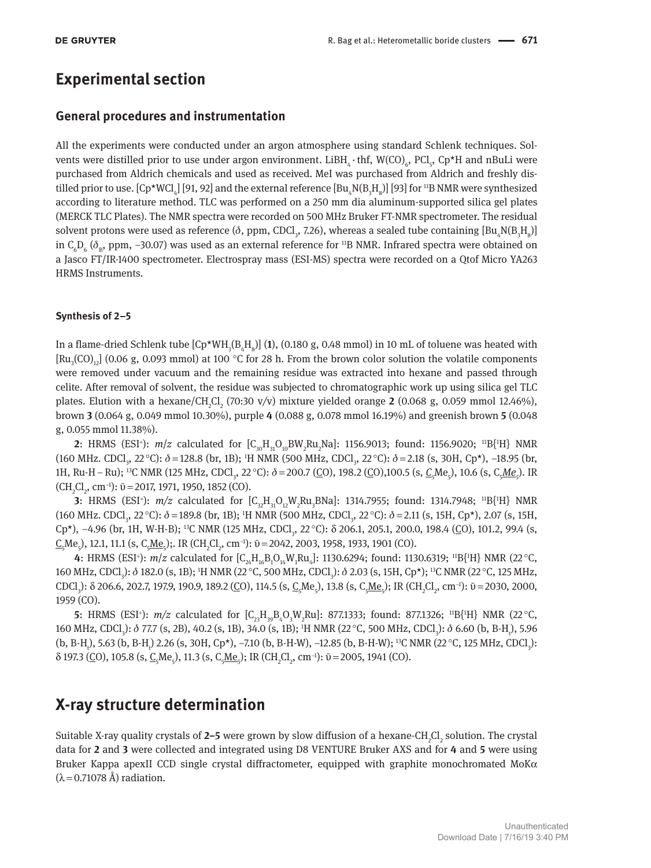#### **Experimental section**

#### **General procedures and instrumentation**

All the experiments were conducted under an argon atmosphere using standard Schlenk techniques. Solvents were distilled prior to use under argon environment.  $LiBH_{_4}\cdot$  thf, W(CO)<sub>6</sub>, PCl<sub>5</sub>, Cp\*H and nBuLi were purchased from Aldrich chemicals and used as received. MeI was purchased from Aldrich and freshly distilled prior to use.  $[Cp*WCl_{_4}]$  [91, 92] and the external reference  $[Bu_{_4}N(B_{_3}H_{_8})]$  [93] for 11B NMR were synthesized according to literature method. TLC was performed on a 250 mm dia aluminum-supported silica gel plates (MERCK TLC Plates). The NMR spectra were recorded on 500 MHz Bruker FT-NMR spectrometer. The residual solvent protons were used as reference ( $\delta$ , ppm, CDCl<sub>3</sub>, 7.26), whereas a sealed tube containing  ${\rm [Bu_4N(B_3H_8)]}$ in C<sub>6</sub>D<sub>6</sub> ( $\delta_{\rm B}$ , ppm, –30.07) was used as an external reference for <sup>11</sup>B NMR. Infrared spectra were obtained on a Jasco FT/IR-1400 spectrometer. Electrospray mass (ESI-MS) spectra were recorded on a Qtof Micro YA263 HRMS Instruments.

#### **Synthesis of 2–5**

In a flame-dried Schlenk tube  $[Cp*WH_{3}(B_{4}H_{8})]$  (1), (0.180 g, 0.48 mmol) in 10 mL of toluene was heated with [Ru<sub>3</sub>(CO)<sub>12</sub>] (0.06 g, 0.093 mmol) at 100 °C for 28 h. From the brown color solution the volatile components were removed under vacuum and the remaining residue was extracted into hexane and passed through celite. After removal of solvent, the residue was subjected to chromatographic work up using silica gel TLC plates. Elution with a hexane/CH<sub>2</sub>Cl<sub>2</sub> (70:30 v/v) mixture yielded orange **2** (0.068 g, 0.059 mmol 12.46%), brown **3** (0.064 g, 0.049 mmol 10.30%), purple **4** (0.088 g, 0.078 mmol 16.19%) and greenish brown **5** (0.048 g, 0.055 mmol 11.38%).

**2**: HRMS (ESI<sup>+</sup>):  $m/z$  calculated for  $[C_{30}H_{31}O_{10}BW_{2}Ru_{2}Na]$ : 1156.9013; found: 1156.9020; <sup>11</sup>B{<sup>1</sup>H} NMR (160 MHz. CDCl<sub>3</sub>, 22 °C):  $\delta$  = 128.8 (br, 1B); <sup>1</sup>H NMR (500 MHz, CDCl<sub>3</sub>, 22 °C):  $\delta$  = 2.18 (s, 30H, Cp<sup>\*</sup>), -18.95 (br, 1H, Ru-H – Ru); <sup>13</sup>C NMR (125 MHz, CDCl<sub>3</sub>, 22 °C): δ = 200.7 (<u>C</u>O), 198.2 (<u>C</u>O),100.5 (s, *C<sub>5</sub>Me<sub>5</sub>)*, 10.6 (s, C<sub>5</sub>*Me<sub>5</sub>*). IR  $(CH_2Cl_2$ , cm<sup>-1</sup>):  $\bar{v} = 2017, 1971, 1950, 1852$  (CO).

**3**: HRMS (ESI<sup>+</sup>):  $m/z$  calculated for  $[C_{32}H_{31}O_{12}W_{2}Ru_{3}BNa]$ : 1314.7955; found: 1314.7948; <sup>11</sup>B{<sup>1</sup>H} NMR (160 MHz. CDCl<sub>3</sub>, 22 °C):  $\delta$  = 189.8 (br, 1B); <sup>1</sup>H NMR (500 MHz, CDCl<sub>3</sub>, 22 °C):  $\delta$  = 2.11 (s, 15H, Cp<sup>\*</sup>), 2.07 (s, 15H, Cp<sup>\*</sup>), -4.96 (br, 1H, W-H-B); <sup>13</sup>C NMR (125 MHz, CDCl<sub>3</sub>, 22 °C): δ 206.1, 205.1, 200.0, 198.4 (<u>C</u>O), 101.2, 99.4 (s,  $\underline{C}_5$ Me<sub>5</sub>), 12.1, 11.1 (s, C<sub>5</sub><u>Me<sub>5</sub></u>);. IR (CH<sub>2</sub>Cl<sub>2</sub>, cm<sup>-1</sup>): Ū = 2042, 2003, 1958, 1933, 1901 (CO).

**4**: HRMS (ESI<sup>+</sup>): *m/z* calculated for  $[C_{24}H_{16}B_1O_{14}W_1Ru_4]$ : 1130.6294; found: 1130.6319; <sup>11</sup>B{<sup>1</sup>H} NMR (22 °C, 160 MHz, CDCl<sub>3</sub>): δ 182.0 (s, 1B); <sup>1</sup>H NMR (22 °C, 500 MHz, CDCl<sub>3</sub>): δ 2.03 (s, 15H, Cp\*); <sup>13</sup>C NMR (22 °C, 125 MHz, CDCl<sub>3</sub>): δ 206.6, 202.7, 197.9, 190.9, 189.2 (<u>C</u>O), 114.5 (s, C<sub>5</sub>Me<sub>5</sub>), 13.8 (s, C<sub>5</sub>Me<sub>5</sub>); IR (CH<sub>2</sub>Cl<sub>2</sub>, cm<sup>-1</sup>):  $\bar{v}$  = 2030, 2000, 1959 (CO).

**5**: HRMS (ESI<sup>+</sup>):  $m/z$  calculated for  $[C_{23}H_{39}B_4O_3W_2Ru]$ : 877.1333; found: 877.1326; <sup>11</sup>B{<sup>1</sup>H} NMR (22 °C, 160 MHz, CDCl<sub>3</sub>): δ 77.7 (s, 2B), 40.2 (s, 1B), 34.0 (s, 1B); <sup>1</sup>H NMR (22 °C, 500 MHz, CDCl<sub>3</sub>): δ 6.60 (b, B-H<sub>t</sub>), 5.96 (b, B-H<sub>t</sub>), 5.63 (b, B-H<sub>t</sub>) 2.26 (s, 30H, Cp<sup>★</sup>), −7.10 (b, B-H-W), −12.85 (b, B-H-W); <sup>13</sup>C NMR (22 °C, 125 MHz, CDCl<sub>3</sub>):  $\delta$  197.3 (CO), 105.8 (s, C<sub>5</sub>Me<sub>5</sub>), 11.3 (s, C<sub>5</sub>Me<sub>5</sub>); IR (CH<sub>2</sub>Cl<sub>2</sub>, cm<sup>-1</sup>):  $\bar{v}$  = 2005, 1941 (CO).

#### **X-ray structure determination**

Suitable X-ray quality crystals of 2–5 were grown by slow diffusion of a hexane-CH<sub>2</sub>Cl<sub>2</sub> solution. The crystal data for **2** and **3** were collected and integrated using D8 VENTURE Bruker AXS and for **4** and **5** were using Bruker Kappa apexII CCD single crystal diffractometer, equipped with graphite monochromated MoK $\alpha$  $(\lambda = 0.71078 \text{ Å})$  radiation.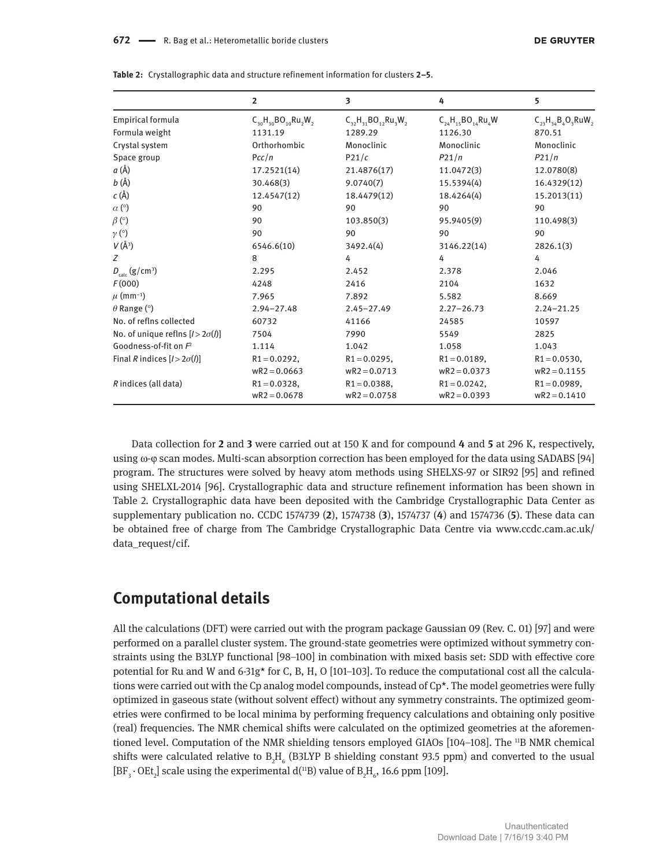|                                       | $\overline{2}$               | 3                                | 4                            | 5                         |
|---------------------------------------|------------------------------|----------------------------------|------------------------------|---------------------------|
| Empirical formula                     | $C_{30}H_{30}BO_{10}Ru_2W_2$ | $C_{32}H_{31}BO_{12}Ru_{3}W_{2}$ | $C_{24}H_{15}BO_{14}Ru_{4}W$ | $C_{23}H_{34}B_4O_3RuW_2$ |
| Formula weight                        | 1131.19                      | 1289.29                          | 1126.30                      | 870.51                    |
| Crystal system                        | Orthorhombic                 | Monoclinic                       | Monoclinic                   | Monoclinic                |
| Space group                           | Pcc/n                        | P21/c                            | P21/n                        | P21/n                     |
| a (Å)                                 | 17.2521(14)                  | 21.4876(17)                      | 11.0472(3)                   | 12.0780(8)                |
| $b(\AA)$                              | 30.468(3)                    | 9.0740(7)                        | 15.5394(4)                   | 16.4329(12)               |
| $c(\AA)$                              | 12.4547(12)                  | 18.4479(12)                      | 18.4264(4)                   | 15.2013(11)               |
| $\alpha$ (°)                          | 90                           | 90                               | 90                           | 90                        |
| $\beta$ (°)                           | 90                           | 103.850(3)                       | 95.9405(9)                   | 110.498(3)                |
| $\gamma$ (°)                          | 90                           | 90                               | 90                           | 90                        |
| $V(\AA^3)$                            | 6546.6(10)                   | 3492.4(4)                        | 3146.22(14)                  | 2826.1(3)                 |
| Z                                     | 8                            | 4                                | 4                            | 4                         |
| $D_{\text{calc}}(g/cm^3)$             | 2.295                        | 2.452                            | 2.378                        | 2.046                     |
| F(000)                                | 4248                         | 2416                             | 2104                         | 1632                      |
| $\mu$ (mm <sup>-1</sup> )             | 7.965                        | 7.892                            | 5.582                        | 8.669                     |
| $\theta$ Range ( $\circ$ )            | $2.94 - 27.48$               | $2.45 - 27.49$                   | $2.27 - 26.73$               | $2.24 - 21.25$            |
| No. of reflns collected               | 60732                        | 41166                            | 24585                        | 10597                     |
| No. of unique reflns $[1>2\sigma(l)]$ | 7504                         | 7990                             | 5549                         | 2825                      |
| Goodness-of-fit on $F^2$              | 1.114                        | 1.042                            | 1.058                        | 1.043                     |
| Final R indices $[1>2\sigma(l)]$      | $R1 = 0.0292$ ,              | $R1 = 0.0295$ ,                  | $R1 = 0.0189$ ,              | $R1 = 0.0530$ ,           |
|                                       | $wR2 = 0.0663$               | $wR2 = 0.0713$                   | $wR2 = 0.0373$               | $wR2 = 0.1155$            |
| R indices (all data)                  | $R1 = 0.0328$ ,              | $R1 = 0.0388$ ,                  | $R1 = 0.0242$ ,              | $R1 = 0.0989$ ,           |
|                                       | $wR2 = 0.0678$               | $wR2 = 0.0758$                   | $wR2 = 0.0393$               | $wR2 = 0.1410$            |

**Table 2:** Crystallographic data and structure refinement information for clusters **2–5**.

Data collection for **2** and **3** were carried out at 150 K and for compound **4** and **5** at 296 K, respectively, using ω-φ scan modes. Multi-scan absorption correction has been employed for the data using SADABS [94] program. The structures were solved by heavy atom methods using SHELXS-97 or SIR92 [95] and refined using SHELXL-2014 [96]. Crystallographic data and structure refinement information has been shown in Table 2. Crystallographic data have been deposited with the Cambridge Crystallographic Data Center as supplementary publication no. CCDC 1574739 (**2**), 1574738 (**3**), 1574737 (**4**) and 1574736 (**5**). These data can be obtained free of charge from The Cambridge Crystallographic Data Centre via www.ccdc.cam.ac.uk/ data request/cif.

#### **Computational details**

All the calculations (DFT) were carried out with the program package Gaussian 09 (Rev. C. 01) [97] and were performed on a parallel cluster system. The ground-state geometries were optimized without symmetry constraints using the B3LYP functional [98–100] in combination with mixed basis set: SDD with effective core potential for Ru and W and 6-31g\* for C, B, H, O [101–103]. To reduce the computational cost all the calculations were carried out with the Cp analog model compounds, instead of Cp\*. The model geometries were fully optimized in gaseous state (without solvent effect) without any symmetry constraints. The optimized geometries were confirmed to be local minima by performing frequency calculations and obtaining only positive (real) frequencies. The NMR chemical shifts were calculated on the optimized geometries at the aforementioned level. Computation of the NMR shielding tensors employed GIAOs [104–108]. The <sup>11</sup>B NMR chemical shifts were calculated relative to  $B_2H_6$  (B3LYP B shielding constant 93.5 ppm) and converted to the usual [BF<sub>3</sub>  $\cdot$  OEt<sub>2</sub>] scale using the experimental d(<sup>11</sup>B) value of B<sub>2</sub>H<sub>6</sub>, 16.6 ppm [109].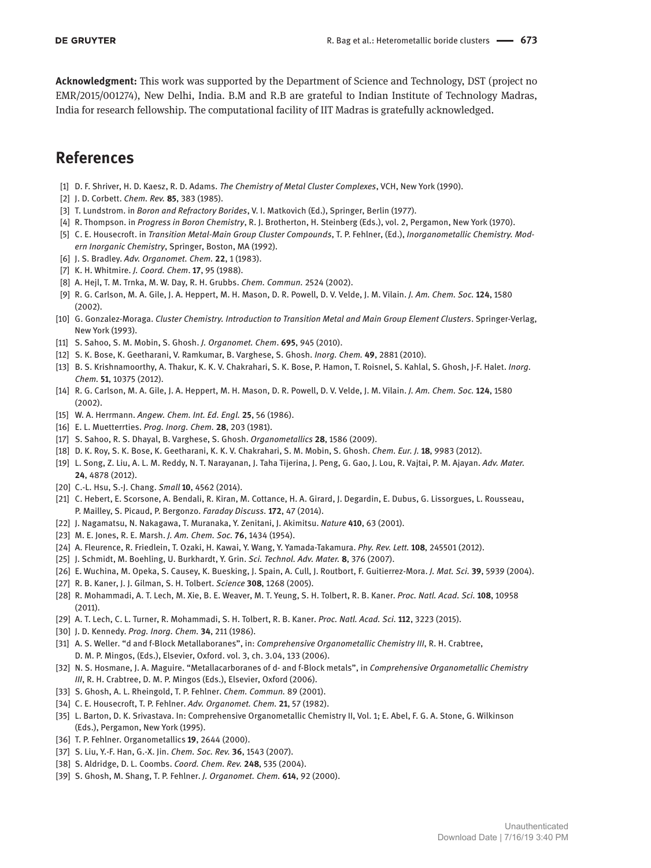**Acknowledgment:** This work was supported by the Department of Science and Technology, DST (project no EMR/2015/001274), New Delhi, India. B.M and R.B are grateful to Indian Institute of Technology Madras, India for research fellowship. The computational facility of IIT Madras is gratefully acknowledged.

## **References**

- [1] D. F. Shriver, H. D. Kaesz, R. D. Adams. *The Chemistry of Metal Cluster Complexes*, VCH, New York (1990).
- [2] J. D. Corbett. *Chem. Rev.* **85**, 383 (1985).
- [3] T. Lundstrom. in *Boron and Refractory Borides*, V. I. Matkovich (Ed.), Springer, Berlin (1977).
- [4] R. Thompson. in *Progress in Boron Chemistry*, R. J. Brotherton, H. Steinberg (Eds.), vol. 2, Pergamon, New York (1970).
- [5] C. E. Housecroft. in *Transition Metal-Main Group Cluster Compounds*, T. P. Fehlner, (Ed.), *Inorganometallic Chemistry. Modern Inorganic Chemistry*, Springer, Boston, MA (1992).
- [6] J. S. Bradley. *Adv. Organomet. Chem.* **22**, 1 (1983).
- [7] K. H. Whitmire. *J. Coord. Chem*. **17**, 95 (1988).
- [8] A. Hejl, T. M. Trnka, M. W. Day, R. H. Grubbs. *Chem. Commun.* 2524 (2002).
- [9] R. G. Carlson, M. A. Gile, J. A. Heppert, M. H. Mason, D. R. Powell, D. V. Velde, J. M. Vilain. *J. Am. Chem. Soc.* **124**, 1580 (2002).
- [10] G. Gonzalez-Moraga. *Cluster Chemistry. Introduction to Transition Metal and Main Group Element Clusters*. Springer-Verlag, New York (1993).
- [11] S. Sahoo, S. M. Mobin, S. Ghosh. *J. Organomet. Chem*. **695**, 945 (2010).
- [12] S. K. Bose, K. Geetharani, V. Ramkumar, B. Varghese, S. Ghosh. *Inorg. Chem.* **49**, 2881 (2010).
- [13] B. S. Krishnamoorthy, A. Thakur, K. K. V. Chakrahari, S. K. Bose, P. Hamon, T. Roisnel, S. Kahlal, S. Ghosh, J-F. Halet. *Inorg. Chem.* **51**, 10375 (2012).
- [14] R. G. Carlson, M. A. Gile, J. A. Heppert, M. H. Mason, D. R. Powell, D. V. Velde, J. M. Vilain. *J. Am. Chem. Soc.* **124**, 1580 (2002).
- [15] W. A. Herrmann. *Angew. Chem. Int. Ed. Engl.* **25**, 56 (1986).
- [16] E. L. Muetterrties. *Prog. Inorg. Chem.* **28**, 203 (1981).
- [17] S. Sahoo, R. S. Dhayal, B. Varghese, S. Ghosh. *Organometallics* **28**, 1586 (2009).
- [18] D. K. Roy, S. K. Bose, K. Geetharani, K. K. V. Chakrahari, S. M. Mobin, S. Ghosh. *Chem. Eur. J.* **18**, 9983 (2012).
- [19] L. Song, Z. Liu, A. L. M. Reddy, N. T. Narayanan, J. Taha Tijerina, J. Peng, G. Gao, J. Lou, R. Vajtai, P. M. Ajayan. *Adv. Mater.* **24**, 4878 (2012).
- [20] C.-L. Hsu, S.-J. Chang. *Small* **10**, 4562 (2014).
- [21] C. Hebert, E. Scorsone, A. Bendali, R. Kiran, M. Cottance, H. A. Girard, J. Degardin, E. Dubus, G. Lissorgues, L. Rousseau, P. Mailley, S. Picaud, P. Bergonzo. *Faraday Discuss.* **172**, 47 (2014).
- [22] J. Nagamatsu, N. Nakagawa, T. Muranaka, Y. Zenitani, J. Akimitsu. *Nature* **410**, 63 (2001).
- [23] M. E. Jones, R. E. Marsh. *J. Am. Chem. Soc.* **76**, 1434 (1954).
- [24] A. Fleurence, R. Friedlein, T. Ozaki, H. Kawai, Y. Wang, Y. Yamada-Takamura. *Phy. Rev. Lett.* **108**, 245501 (2012).
- [25] J. Schmidt, M. Boehling, U. Burkhardt, Y. Grin. *Sci. Technol. Adv. Mater.* **8**, 376 (2007).
- [26] E. Wuchina, M. Opeka, S. Causey, K. Buesking, J. Spain, A. Cull, J. Routbort, F. Guitierrez-Mora. *J. Mat. Sci.* **39**, 5939 (2004).
- [27] R. B. Kaner, J. J. Gilman, S. H. Tolbert. *Science* **308**, 1268 (2005).
- [28] R. Mohammadi, A. T. Lech, M. Xie, B. E. Weaver, M. T. Yeung, S. H. Tolbert, R. B. Kaner. *Proc. Natl. Acad. Sci.* **108**, 10958 (2011).
- [29] A. T. Lech, C. L. Turner, R. Mohammadi, S. H. Tolbert, R. B. Kaner. *Proc. Natl. Acad. Sci.* **112**, 3223 (2015).
- [30] J. D. Kennedy. *Prog. Inorg. Chem.* **34**, 211 (1986).
- [31] A. S. Weller. "d and f-Block Metallaboranes", in: *Comprehensive Organometallic Chemistry III*, R. H. Crabtree, D. M. P. Mingos, (Eds.), Elsevier, Oxford. vol. 3, ch. 3.04, 133 (2006).
- [32] N. S. Hosmane, J. A. Maguire. "Metallacarboranes of d- and f-Block metals", in *Comprehensive Organometallic Chemistry III*, R. H. Crabtree, D. M. P. Mingos (Eds.), Elsevier, Oxford (2006).
- [33] S. Ghosh, A. L. Rheingold, T. P. Fehlner. *Chem. Commun.* 89 (2001).
- [34] C. E. Housecroft, T. P. Fehlner. *Adv. Organomet. Chem.* **21**, 57 (1982).
- [35] L. Barton, D. K. Srivastava. In: Comprehensive Organometallic Chemistry II, Vol. 1; E. Abel, F. G. A. Stone, G. Wilkinson (Eds.), Pergamon, New York (1995).
- [36] T. P. Fehlner. Organometallics **19**, 2644 (2000).
- [37] S. Liu, Y.-F. Han, G.-X. Jin. *Chem. Soc. Rev.* **36**, 1543 (2007).
- [38] S. Aldridge, D. L. Coombs. *Coord. Chem. Rev.* **248**, 535 (2004).
- [39] S. Ghosh, M. Shang, T. P. Fehlner. *J. Organomet. Chem.* **614**, 92 (2000).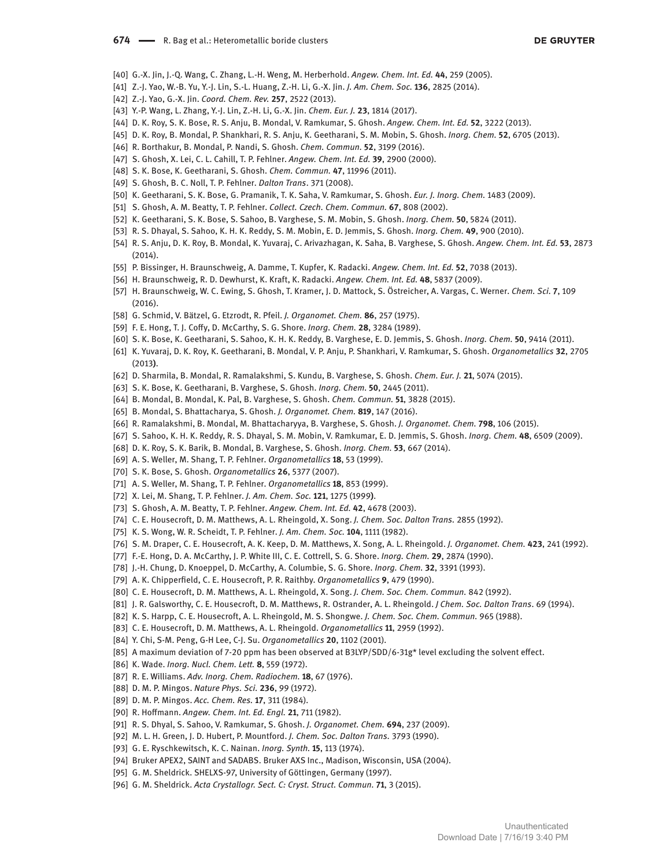- [40] G.-X. Jin, J.-Q. Wang, C. Zhang, L.-H. Weng, M. Herberhold. *Angew. Chem. Int. Ed.* **44**, 259 (2005).
- [41] Z.-J. Yao, W.-B. Yu, Y.-J. Lin, S.-L. Huang, Z.-H. Li, G.-X. Jin. *J. Am. Chem. Soc.* **136**, 2825 (2014).
- [42] Z.-J. Yao, G.-X. Jin. *Coord. Chem. Rev.* **257**, 2522 (2013).
- [43] Y.-P. Wang, L. Zhang, Y.-J. Lin, Z.-H. Li, G.-X. Jin. *Chem. Eur. J.* **23**, 1814 (2017).
- [44] D. K. Roy, S. K. Bose, R. S. Anju, B. Mondal, V. Ramkumar, S. Ghosh. *Angew. Chem. Int. Ed.* **52**, 3222 (2013).
- [45] D. K. Roy, B. Mondal, P. Shankhari, R. S. Anju, K. Geetharani, S. M. Mobin, S. Ghosh. *Inorg. Chem.* **52**, 6705 (2013).
- [46] R. Borthakur, B. Mondal, P. Nandi, S. Ghosh. *Chem. Commun.* **52**, 3199 (2016).
- [47] S. Ghosh, X. Lei, C. L. Cahill, T. P. Fehlner. *Angew. Chem. Int. Ed.* **39**, 2900 (2000).
- [48] S. K. Bose, K. Geetharani, S. Ghosh. *Chem. Commun.* **47**, 11996 (2011).
- [49] S. Ghosh, B. C. Noll, T. P. Fehlner. *Dalton Trans*. 371 (2008).
- [50] K. Geetharani, S. K. Bose, G. Pramanik, T. K. Saha, V. Ramkumar, S. Ghosh. *Eur. J. Inorg. Chem.* 1483 (2009).
- [51] S. Ghosh, A. M. Beatty, T. P. Fehlner. *Collect. Czech. Chem. Commun.* **67**, 808 (2002).
- [52] K. Geetharani, S. K. Bose, S. Sahoo, B. Varghese, S. M. Mobin, S. Ghosh. *Inorg. Chem.* **50**, 5824 (2011).
- [53] R. S. Dhayal, S. Sahoo, K. H. K. Reddy, S. M. Mobin, E. D. Jemmis, S. Ghosh. *Inorg. Chem.* **49**, 900 (2010).
- [54] R. S. Anju, D. K. Roy, B. Mondal, K. Yuvaraj, C. Arivazhagan, K. Saha, B. Varghese, S. Ghosh. *Angew. Chem. Int. Ed.* **53**, 2873 (2014).
- [55] P. Bissinger, H. Braunschweig, A. Damme, T. Kupfer, K. Radacki. *Angew. Chem. Int. Ed.* **52**, 7038 (2013).
- [56] H. Braunschweig, R. D. Dewhurst, K. Kraft, K. Radacki. *Angew. Chem. Int. Ed.* **48**, 5837 (2009).
- [57] H. Braunschweig, W. C. Ewing, S. Ghosh, T. Kramer, J. D. Mattock, S. Östreicher, A. Vargas, C. Werner. *Chem. Sci.* **7**, 109 (2016).
- [58] G. Schmid, V. Bätzel, G. Etzrodt, R. Pfeil. *J. Organomet. Chem.* **86**, 257 (1975).
- [59] F. E. Hong, T. J. Coffy, D. McCarthy, S. G. Shore. *Inorg. Chem.* **28**, 3284 (1989).
- [60] S. K. Bose, K. Geetharani, S. Sahoo, K. H. K. Reddy, B. Varghese, E. D. Jemmis, S. Ghosh. *Inorg. Chem.* **50**, 9414 (2011).
- [61] K. Yuvaraj, D. K. Roy, K. Geetharani, B. Mondal, V. P. Anju, P. Shankhari, V. Ramkumar, S. Ghosh. *Organometallics* **32**, 2705 (2013**)**.
- [62] D. Sharmila, B. Mondal, R. Ramalakshmi, S. Kundu, B. Varghese, S. Ghosh. *Chem. Eur. J.* **21**, 5074 (2015).
- [63] S. K. Bose, K. Geetharani, B. Varghese, S. Ghosh. *Inorg. Chem.* **50**, 2445 (2011).
- [64] B. Mondal, B. Mondal, K. Pal, B. Varghese, S. Ghosh. *Chem. Commun.* **51**, 3828 (2015).
- [65] B. Mondal, S. Bhattacharya, S. Ghosh. *J. Organomet. Chem.* **819**, 147 (2016).
- [66] R. Ramalakshmi, B. Mondal, M. Bhattacharyya, B. Varghese, S. Ghosh. *J. Organomet. Chem.* **798**, 106 (2015).
- [67] S. Sahoo, K. H. K. Reddy, R. S. Dhayal, S. M. Mobin, V. Ramkumar, E. D. Jemmis, S. Ghosh. *Inorg. Chem.* **48**, 6509 (2009).
- [68] D. K. Roy, S. K. Barik, B. Mondal, B. Varghese, S. Ghosh. *Inorg. Chem.* **53**, 667 (2014).
- [69] A. S. Weller, M. Shang, T. P. Fehlner. *Organometallics* **18**, 53 (1999).
- [70] S. K. Bose, S. Ghosh. *Organometallics* **26**, 5377 (2007).
- [71] A. S. Weller, M. Shang, T. P. Fehlner. *Organometallics* **18**, 853 (1999).
- [72] X. Lei, M. Shang, T. P. Fehlner. *J. Am. Chem. Soc.* **121**, 1275 (1999**)**.
- [73] S. Ghosh, A. M. Beatty, T. P. Fehlner. *Angew. Chem. Int. Ed.* **42**, 4678 (2003).
- [74] C. E. Housecroft, D. M. Matthews, A. L. Rheingold, X. Song. *J. Chem. Soc. Dalton Trans.* 2855 (1992).
- [75] K. S. Wong, W. R. Scheidt, T. P. Fehlner. *J. Am. Chem. Soc.* **104**, 1111 (1982).
- [76] S. M. Draper, C. E. Housecroft, A. K. Keep, D. M. Matthews, X. Song, A. L. Rheingold. *J. Organomet. Chem.* **423**, 241 (1992).
- [77] F.-E. Hong, D. A. McCarthy, J. P. White III, C. E. Cottrell, S. G. Shore. *Inorg. Chem.* **29**, 2874 (1990).
- [78] J.-H. Chung, D. Knoeppel, D. McCarthy, A. Columbie, S. G. Shore. *Inorg. Chem.* **32**, 3391 (1993).
- [79] A. K. Chipperfield, C. E. Housecroft, P. R. Raithby. *Organometallics* **9**, 479 (1990).
- [80] C. E. Housecroft, D. M. Matthews, A. L. Rheingold, X. Song. *J. Chem. Soc. Chem. Commun.* 842 (1992).
- [81] J. R. Galsworthy, C. E. Housecroft, D. M. Matthews, R. Ostrander, A. L. Rheingold. *J Chem. Soc. Dalton Trans*. 69 (1994).
- [82] K. S. Harpp, C. E. Housecroft, A. L. Rheingold, M. S. Shongwe. *J. Chem. Soc. Chem. Commun.* 965 (1988).
- [83] C. E. Housecroft, D. M. Matthews, A. L. Rheingold. *Organometallics* **11**, 2959 (1992).
- [84] Y. Chi, S-M. Peng, G-H Lee, C-J. Su. *Organometallics* **20**, 1102 (2001).
- [85] A maximum deviation of 7-20 ppm has been observed at B3LYP/SDD/6-31g\* level excluding the solvent effect.
- [86] K. Wade. *Inorg. Nucl. Chem. Lett.* **8**, 559 (1972).
- [87] R. E. Williams. *Adv. Inorg. Chem. Radiochem.* **18**, 67 (1976).
- [88] D. M. P. Mingos. *Nature Phys. Sci.* **236**, 99 (1972).
- [89] D. M. P. Mingos. *Acc. Chem. Res.* **17**, 311 (1984).
- [90] R. Hoffmann. *Angew. Chem. Int. Ed. Engl.* **21**, 711 (1982).
- [91] R. S. Dhyal, S. Sahoo, V. Ramkumar, S. Ghosh. *J. Organomet. Chem.* **694**, 237 (2009).
- [92] M. L. H. Green, J. D. Hubert, P. Mountford. *J. Chem. Soc. Dalton Trans.* 3793 (1990).
- [93] G. E. Ryschkewitsch, K. C. Nainan. *Inorg. Synth.* **15**, 113 (1974).
- [94] Bruker APEX2, SAINT and SADABS. Bruker AXS Inc., Madison, Wisconsin, USA (2004).
- [95] G. M. Sheldrick. SHELXS-97, University of Göttingen, Germany (1997).
- [96] G. M. Sheldrick. *Acta Crystallogr. Sect. C: Cryst. Struct. Commun.* **71**, 3 (2015).